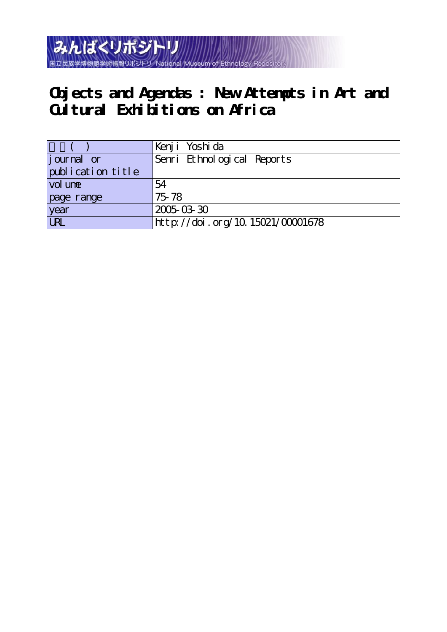

## **Objects and Agendas : New Attempts in Art and Cultural Exhibitions on Africa**

|                   | Kenji Yoshida                    |
|-------------------|----------------------------------|
| journal or        | Senri Ethnological Reports       |
| publication title |                                  |
| vol une           | 54                               |
| page range        | 75-78                            |
| year<br>URL       | 2005-03-30                       |
|                   | http://doi.org/10.15021/00001678 |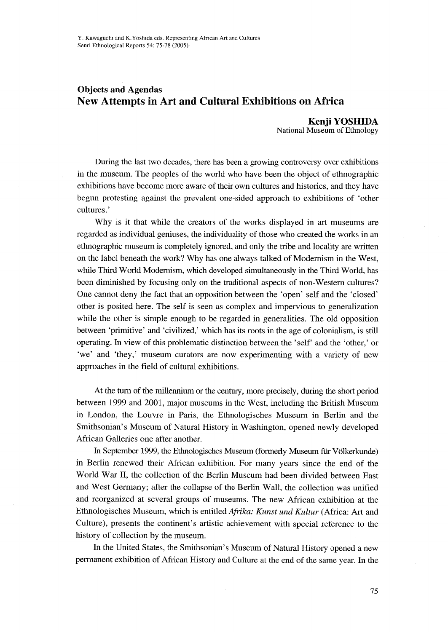## Objects and Agendas New Attempts in Art and Cultural Exhibitions on Africa

 Kenji YOSHIDA National Museum of Ethnology

 During the last two decades, there has been a growing controversy over exhibitions in the museum. The peoples of the world who have been the object of ethnographic exhibitions have become more aware of their own cultures and histories, and they have begun protesting against the prevalent one-sided approach to exhibitions of 'other cultures.'

Why is it that while the creators of the works displayed in art museums are regarded as individual geniuses, the individuality of those who created the works in an ethnographic museum is completely ignored, and only the tribe and locality are written on the label beneath the work? Why has one always talked of Modemism in the West, while Third World Modemism, which developed simultaneously in the Third World, has been diminished by focusing only on the traditional aspects of non-Westem cultures? One cannot deny the fact that an opposition between the `open' self and the `closed' other is posited here. The self is seen as complex and impervious to generalization while the other is simple enough to be regarded in generalities. The old opposition between `primitive' and `civilized,' which has its roots in the age of colonialism, is still operating. In view of this problematic distinction between the 'self' and the 'other,' or `we' and `they,' museum curators are now experimenting with a variety of new approaches in the field of cultural exhibitions.

 At the tum of the mi11emium or the century, more precisely, during the short period between 1999 and 2001, major museums in the West, including the British Museum in London, the Louvre in Paris, the Ethnologisches Museum in Berlin and the Smithsonian's Museum of Natural History in Washington, opened newly developed Afirican Galleries one after another.

 In September 1999, the Ethnologisches Museum (formerly Museum flir V6lketkunde) in Berlin renewed their African exhibition. For many years since the end of the World War II, the collection of the Berlin Museum had been divided between East and West Germany; after the collapse of the Berlin Wall, the collection was unified and reorganized at several groups of museums. The new African exhibition at the Ethnologisches Museum, which is entitled Afrika: Kunst und Kultur (Africa: Art and Culture), presents the continent's artistic achievement with special reference to the history of collection by the museum.

 In the United States, the Smithsonian's Museum of Natural History opened a new permanent exhibition of African History and Culture at the end of the same year. In the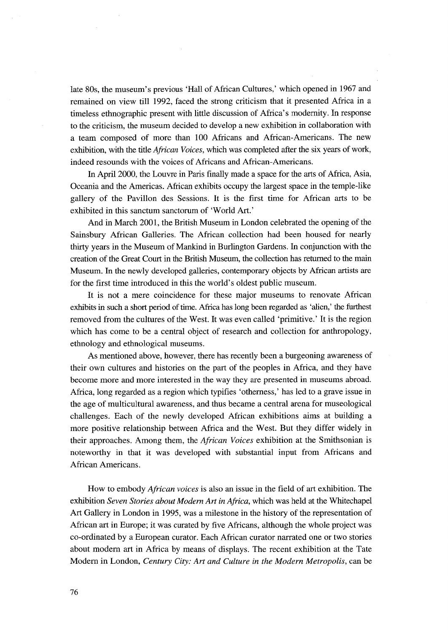late 80s, the museum's previous 'Hall of African Cultures,' which opened in 1967 and remained on view till 1992, faced the strong criticism that it presented Africa in a timeless ethnographic present with little discussion of Africa's modemity. In response to the criticism, the museum decided to develop a new exhibition in collaboration with a team composed of more than 100 Africans and African-Americans. The new exhibition, with the title *African Voices*, which was completed after the six years of work, indeed resounds with the voices of Africans and African-Americans.

 In Apri1 2000, the Louvre in Paris finally made a space for the arts of Africa, Asia, Oceania and the Americas. Aftican exhibits occupy the largest space in the temple-1ike gallery of the Pavillon des Sessions. It is the first time for African arts to be exhibited in this sanctum sanctorum of 'World Art.'

 And in March 2001, the British Museum in London celebrated the opening of the Sainsbury African Galleries. The African collection had been housed for nearly thirty years in the Museum of Mankind in Burlington Gardens. In conjunction with the creation of the Great Court in the British Museum, the collection has retumed to the main Museum. In the newly developed galleries, contemporary objects by African artists are for the first time introduced in this the world's oldest public museum.

It is not a mere coincidence for these major museums to renovate African exhibits in such a short period of time. Africa has long been regarded as 'alien,' the furthest removed from the cultures of the West. It was even called 'primitive.' It is the region which has come to be a central object of research and collection for anthropology, ethnoiogy and ethnological museums.

 As mentioned above, however, there has recently been a burgeoning awareness of their own cultures and histories on the part of the peoples in Africa, and they have become more and more interested in the way they are presented in museums abroad. Africa, long regarded as a region which typifies `othemess,' has led to a grave issue in the age of multicultural awareness, and thus became a central arena for museological challenges. Each of the newly developed African exhibitions aims at building a more positive relationship between Africa and the West. But they differ widely in their approaches. Among them, the *African Voices* exhibition at the Smithsonian is noteworthy in that it was developed with substantial input from Africans and African Americans.

How to embody *African voices* is also an issue in the field of art exhibition. The exhibition Seven Stories about Modern Art in Africa, which was held at the Whitechapel Art Gallery in London in 1995, was a milestone in the history of the representation of African art in Europe; it was curated by five Africans, although the whole project was co-ordinated by a European curator. Each African curator narrated one or two stories about modern art in Africa by means of displays. The recent exhibition at the Tate Modern in London, Century City: Art and Culture in the Modern Metropolis, can be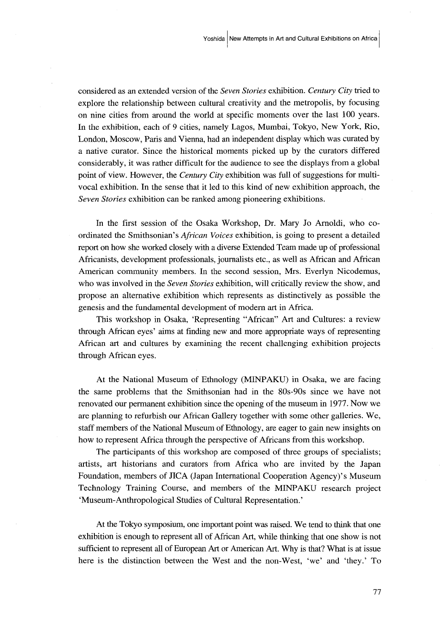considered as an extended version of the Seven Stories exhibition. Century City tried to explore the relationship between cultural creativity and the metropolis, by focusing on nine cities from around the world at specific moments over the last 100 years. In the exhibition, each of 9 cities, namely Lagos, Mumbai, Tokyo, New York, Rio, London, Moscow, Paris and Vienna, had an independent display which was curated by a native curator. Since the historical moments picked up by the curators differed considerably, it was rather difficult for the audience to see the displays from a global point of view. However, the Century City exhibition was full of suggestions for multivocal exhibition. In the sense that it led to this kind of new exhibition approach, the Seven Stories exhibition can be ranked among pioneering exhibitions.

 In the first session of the Osaka Workshop, Dr. Mary Jo Amoldi, who coordinated the Smithsonian's *African Voices* exhibition, is going to present a detailed report on how she wotked closely with a diverse Extended Team made up of professional Africanists, development professionals, journalists etc., as well as African and African American community members. In the second session, Mrs. Everlyn Nicodemus, who was involved in the *Seven Stories* exhibition, will critically review the show, and propose an alternative exhibition which represents as distin¢tively as possible the genesis and the fundamental development of modem art in Africa.

 This workshop in Osaka, `Representing "African" Art and Cultures: a review through African eyes' aims at finding new and more appropriate ways of representing African art and cultures by examining the recent challenging exhibition projects through African eyes.

 At the National Museum of Ethnology (MINPAKU) in Osaka, we are facing the same probiems that the Smithsonian had in the 80s-90s since we have not renovated our perrnanent exhibition since the opening of the museum in 1977. Now we are planning to refurbish our African Gallery together with some other galleries. We, staff members of the National Museum of Ethnology, are eager to gain new insights on how to represent Africa through the perspective of Africans from this workshop.

 The panicipants of this workshop are composed of three groups of specialists; artists, art historians and curators from Africa who are invited by the Japan Foundation, members of JICA (Japan Intemational Cooperation Agency)'s Museum Technology Training Course, and members of the MINPAKU research preject `Museum-Anthropological Studies of Cultural Representation.'

 At the Tokyo symposium, one important point was raised. We tend to think that one exhibition is enough to represent all of African Art, while thinking that one show is not sufficient to represent all of European Art or American Art. Why is that? What is at issue here is the distinction between the West and the non-West, 'we' and 'they.' To